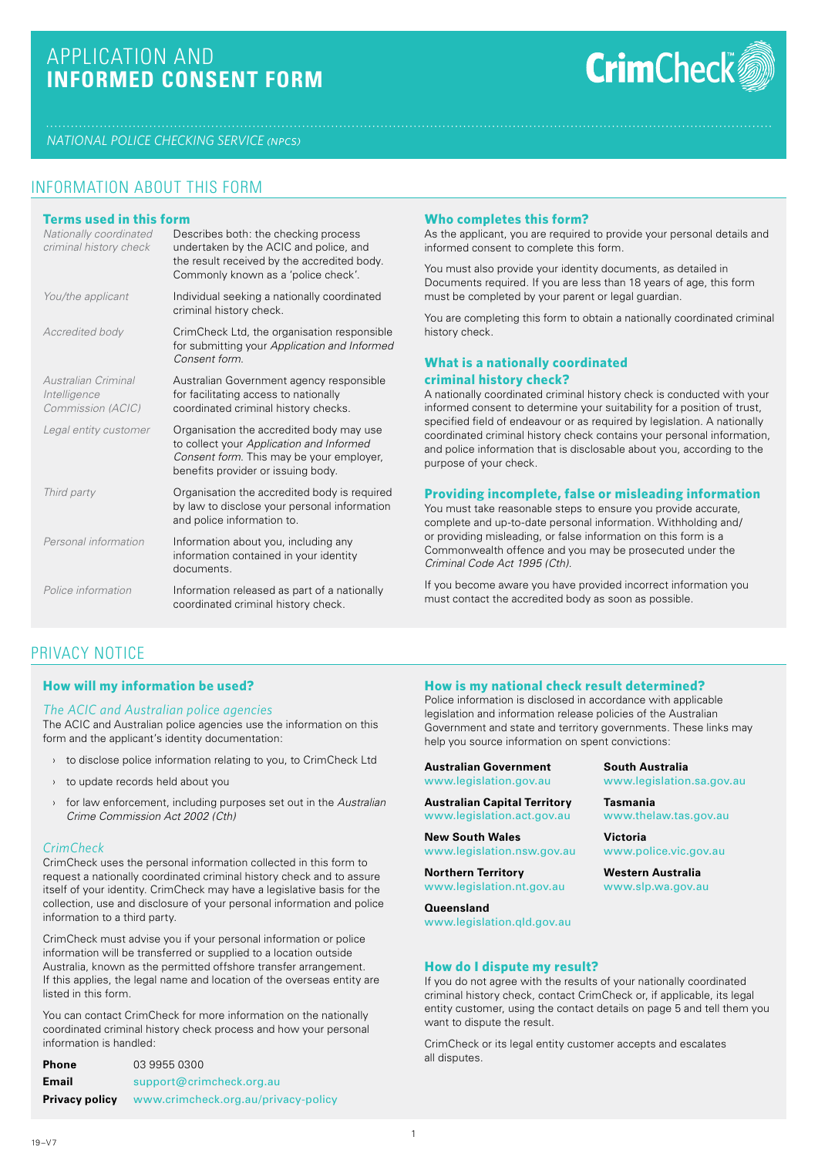# APPLICATION AND **INFORMED CONSENT FORM**



*NATIONAL POLICE CHECKING SERVICE (npcs)*

## INFORMATION ABOUT THIS FORM

| Terms used in this form<br>Nationally coordinated<br>criminal history check | Describes both: the checking process<br>undertaken by the ACIC and police, and<br>the result received by the accredited body.<br>Commonly known as a 'police check'.   |
|-----------------------------------------------------------------------------|------------------------------------------------------------------------------------------------------------------------------------------------------------------------|
| You/the applicant                                                           | Individual seeking a nationally coordinated<br>criminal history check.                                                                                                 |
| <b>Accredited body</b>                                                      | CrimCheck Ltd, the organisation responsible<br>for submitting your Application and Informed<br>Consent form                                                            |
| Australian Criminal<br>Intelligence<br>Commission (ACIC)                    | Australian Government agency responsible<br>for facilitating access to nationally<br>coordinated criminal history checks.                                              |
| Legal entity customer                                                       | Organisation the accredited body may use<br>to collect your Application and Informed<br>Consent form. This may be your employer,<br>benefits provider or issuing body. |
| Third party                                                                 | Organisation the accredited body is required<br>by law to disclose your personal information<br>and police information to.                                             |
| Personal information                                                        | Information about you, including any<br>information contained in your identity<br>documents.                                                                           |
| Police information                                                          | Information released as part of a nationally<br>coordinated criminal history check.                                                                                    |

#### **Who completes this form?**

As the applicant, you are required to provide your personal details and informed consent to complete this form.

You must also provide your identity documents, as detailed in Documents required. If you are less than 18 years of age, this form must be completed by your parent or legal guardian.

You are completing this form to obtain a nationally coordinated criminal history check.

## **What is a nationally coordinated criminal history check?**

A nationally coordinated criminal history check is conducted with your informed consent to determine your suitability for a position of trust, specified field of endeavour or as required by legislation. A nationally coordinated criminal history check contains your personal information, and police information that is disclosable about you, according to the purpose of your check.

### **Providing incomplete, false or misleading information**

You must take reasonable steps to ensure you provide accurate, complete and up-to-date personal information. Withholding and/ or providing misleading, or false information on this form is a Commonwealth offence and you may be prosecuted under the *Criminal Code Act 1995 (Cth).*

If you become aware you have provided incorrect information you must contact the accredited body as soon as possible.

## PRIVACY NOTICE

## **How will my information be used?**

#### *The ACIC and Australian police agencies*

The ACIC and Australian police agencies use the information on this form and the applicant's identity documentation:

- › to disclose police information relating to you, to CrimCheck Ltd
- › to update records held about you
- › for law enforcement, including purposes set out in the *Australian Crime Commission Act 2002 (Cth)*

#### *CrimCheck*

CrimCheck uses the personal information collected in this form to request a nationally coordinated criminal history check and to assure itself of your identity. CrimCheck may have a legislative basis for the collection, use and disclosure of your personal information and police information to a third party.

CrimCheck must advise you if your personal information or police information will be transferred or supplied to a location outside Australia, known as the permitted offshore transfer arrangement. If this applies, the legal name and location of the overseas entity are listed in this form.

You can contact CrimCheck for more information on the nationally coordinated criminal history check process and how your personal information is handled:

| <b>Phone</b>          | 03 9955 0300                        |
|-----------------------|-------------------------------------|
| Email                 | support@crimcheck.org.au            |
| <b>Privacy policy</b> | www.crimcheck.org.au/privacy-policy |

## **How is my national check result determined?**

Police information is disclosed in accordance with applicable legislation and information release policies of the Australian Government and state and territory governments. These links may help you source information on spent convictions:

**Australian Government**  www.legislation.gov.au

**Australian Capital Territory** www.legislation.act.gov.au

**New South Wales** www.legislation.nsw.gov.au

**Northern Territory** www.legislation.nt.gov.au

**Queensland** www.legislation.qld.gov.au **South Australia** www.legislation.sa.gov.au

**Tasmania** www.thelaw.tas.gov.au

**Victoria** www.police.vic.gov.au

**Western Australia** www.slp.wa.gov.au

#### **How do I dispute my result?**

If you do not agree with the results of your nationally coordinated criminal history check, contact CrimCheck or, if applicable, its legal entity customer, using the contact details on page 5 and tell them you want to dispute the result.

CrimCheck or its legal entity customer accepts and escalates all disputes.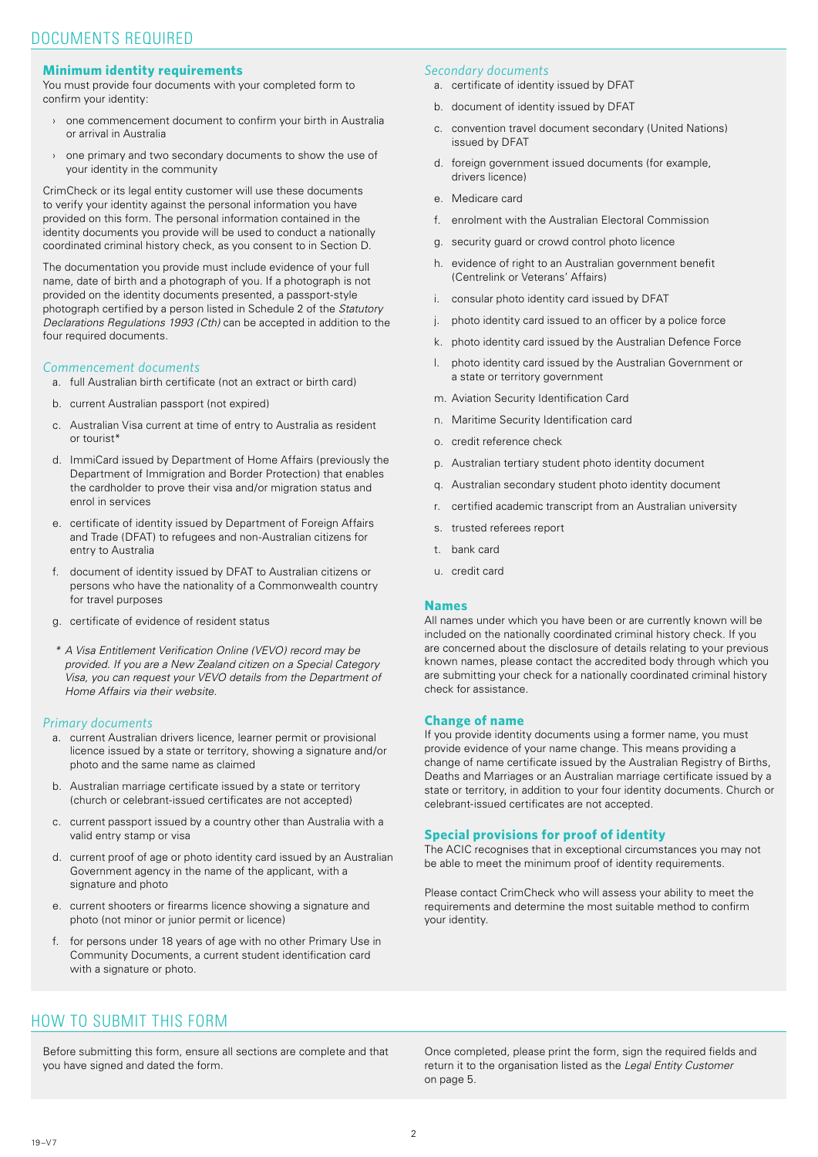#### **Minimum identity requirements**

You must provide four documents with your completed form to confirm your identity:

- › one commencement document to confirm your birth in Australia or arrival in Australia
- › one primary and two secondary documents to show the use of your identity in the community

CrimCheck or its legal entity customer will use these documents to verify your identity against the personal information you have provided on this form. The personal information contained in the identity documents you provide will be used to conduct a nationally coordinated criminal history check, as you consent to in Section D.

The documentation you provide must include evidence of your full name, date of birth and a photograph of you. If a photograph is not provided on the identity documents presented, a passport-style photograph certified by a person listed in Schedule 2 of the *Statutory Declarations Regulations 1993 (Cth)* can be accepted in addition to the four required documents.

### *Commencement documents*

- a. full Australian birth certificate (not an extract or birth card)
- b. current Australian passport (not expired)
- c. Australian Visa current at time of entry to Australia as resident or tourist\*
- d. ImmiCard issued by Department of Home Affairs (previously the Department of Immigration and Border Protection) that enables the cardholder to prove their visa and/or migration status and enrol in services
- e. certificate of identity issued by Department of Foreign Affairs and Trade (DFAT) to refugees and non-Australian citizens for entry to Australia
- f. document of identity issued by DFAT to Australian citizens or persons who have the nationality of a Commonwealth country for travel purposes
- g. certificate of evidence of resident status
- *\* A Visa Entitlement Verification Online (VEVO) record may be provided. If you are a New Zealand citizen on a Special Category Visa, you can request your VEVO details from the Department of Home Affairs via their website.*

#### *Primary documents*

- a. current Australian drivers licence, learner permit or provisional licence issued by a state or territory, showing a signature and/or photo and the same name as claimed
- b. Australian marriage certificate issued by a state or territory (church or celebrant-issued certificates are not accepted)
- c. current passport issued by a country other than Australia with a valid entry stamp or visa
- d. current proof of age or photo identity card issued by an Australian Government agency in the name of the applicant, with a signature and photo
- e. current shooters or firearms licence showing a signature and photo (not minor or junior permit or licence)
- f. for persons under 18 years of age with no other Primary Use in Community Documents, a current student identification card with a signature or photo.

### *Secondary documents*

- a. certificate of identity issued by DFAT
- b. document of identity issued by DFAT
- c. convention travel document secondary (United Nations) issued by DFAT
- d. foreign government issued documents (for example, drivers licence)
- e. Medicare card
- f. enrolment with the Australian Electoral Commission
- g. security guard or crowd control photo licence
- h. evidence of right to an Australian government benefit (Centrelink or Veterans' Affairs)
- i. consular photo identity card issued by DFAT
- j. photo identity card issued to an officer by a police force
- k. photo identity card issued by the Australian Defence Force
- l. photo identity card issued by the Australian Government or a state or territory government
- m. Aviation Security Identification Card
- n. Maritime Security Identification card
- o. credit reference check
- p. Australian tertiary student photo identity document
- q. Australian secondary student photo identity document
- r. certified academic transcript from an Australian university
- s. trusted referees report
- t. bank card
- u. credit card

#### **Names**

All names under which you have been or are currently known will be included on the nationally coordinated criminal history check. If you are concerned about the disclosure of details relating to your previous known names, please contact the accredited body through which you are submitting your check for a nationally coordinated criminal history check for assistance.

#### **Change of name**

If you provide identity documents using a former name, you must provide evidence of your name change. This means providing a change of name certificate issued by the Australian Registry of Births, Deaths and Marriages or an Australian marriage certificate issued by a state or territory, in addition to your four identity documents. Church or celebrant-issued certificates are not accepted.

#### **Special provisions for proof of identity**

The ACIC recognises that in exceptional circumstances you may not be able to meet the minimum proof of identity requirements.

Please contact CrimCheck who will assess your ability to meet the requirements and determine the most suitable method to confirm your identity.

## HOW TO SUBMIT THIS FORM

Before submitting this form, ensure all sections are complete and that you have signed and dated the form.

Once completed, please print the form, sign the required fields and return it to the organisation listed as the *Legal Entity Customer* on page 5.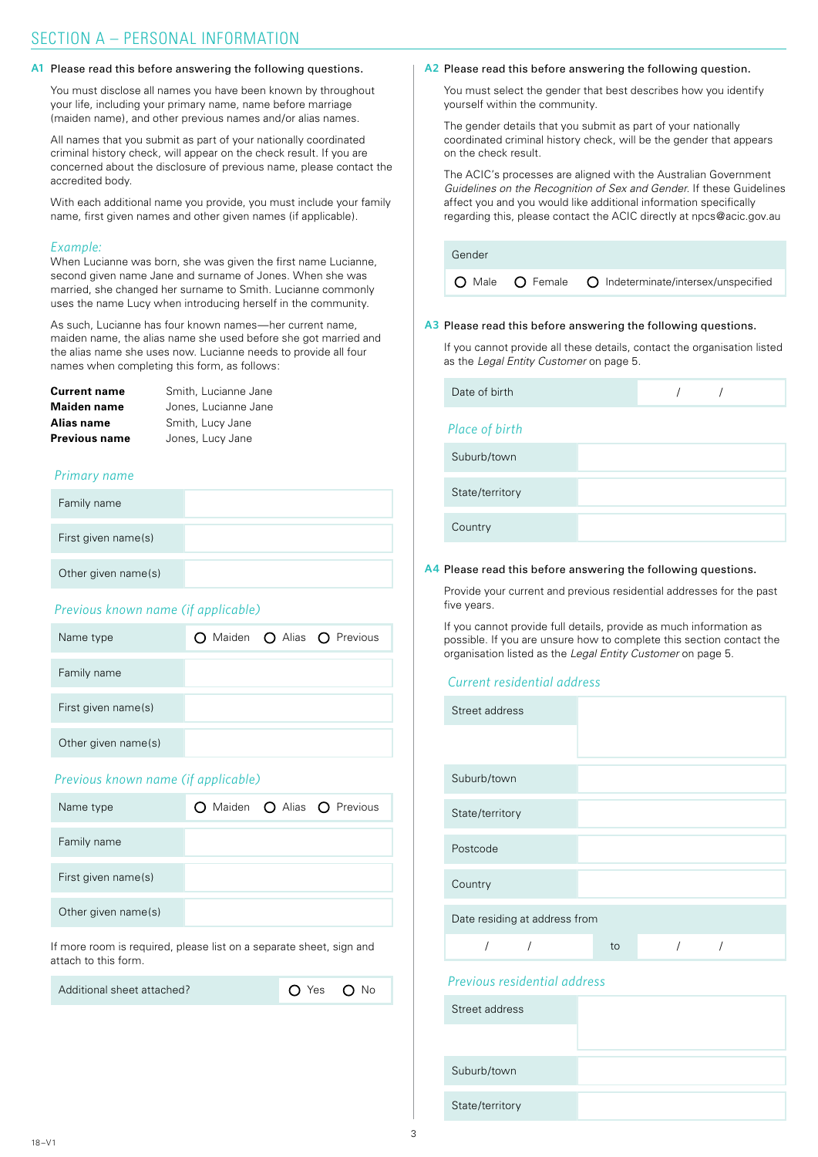#### A1 Please read this before answering the following questions.

You must disclose all names you have been known by throughout your life, including your primary name, name before marriage (maiden name), and other previous names and/or alias names.

All names that you submit as part of your nationally coordinated criminal history check, will appear on the check result. If you are concerned about the disclosure of previous name, please contact the accredited body.

With each additional name you provide, you must include your family name, first given names and other given names (if applicable).

#### *Example:*

When Lucianne was born, she was given the first name Lucianne, second given name Jane and surname of Jones. When she was married, she changed her surname to Smith. Lucianne commonly uses the name Lucy when introducing herself in the community.

As such, Lucianne has four known names—her current name, maiden name, the alias name she used before she got married and the alias name she uses now. Lucianne needs to provide all four names when completing this form, as follows:

| Current name  | Smith, Lucianne Jane |
|---------------|----------------------|
| Maiden name   | Jones, Lucianne Jane |
| Alias name    | Smith, Lucy Jane     |
| Previous name | Jones, Lucy Jane     |

#### *Primary name*

| Family name         |  |
|---------------------|--|
| First given name(s) |  |
| Other given name(s) |  |

## *Previous known name (if applicable)*



## *Previous known name (if applicable)*

| Name type           |  | O Maiden O Alias O Previous |
|---------------------|--|-----------------------------|
| Family name         |  |                             |
| First given name(s) |  |                             |
| Other given name(s) |  |                             |

If more room is required, please list on a separate sheet, sign and attach to this form.

Additional sheet attached?

| Yes | Νo |
|-----|----|
|     |    |

 $\Omega$ 

#### A<sub>2</sub> Please read this before answering the following question.

You must select the gender that best describes how you identify yourself within the community.

The gender details that you submit as part of your nationally coordinated criminal history check, will be the gender that appears on the check result.

The ACIC's processes are aligned with the Australian Government *Guidelines on the Recognition of Sex and Gender*. If these Guidelines affect you and you would like additional information specifically regarding this, please contact the ACIC directly at npcs@acic.gov.au

Gender

 $\Omega$  Male  $\Omega$  Female  $\Omega$  Indeterminate/intersex/unspecified

#### A3 Please read this before answering the following questions.

If you cannot provide all these details, contact the organisation listed as the *Legal Entity Customer* on page 5.

| Date of birth   |  |  |
|-----------------|--|--|
| Place of birth  |  |  |
| Suburb/town     |  |  |
| State/territory |  |  |
| Country         |  |  |

#### A4 Please read this before answering the following questions.

Provide your current and previous residential addresses for the past five years.

If you cannot provide full details, provide as much information as possible. If you are unsure how to complete this section contact the organisation listed as the *Legal Entity Customer* on page 5.

### *Current residential address*

| Street address                |    |  |  |
|-------------------------------|----|--|--|
|                               |    |  |  |
| Suburb/town                   |    |  |  |
| State/territory               |    |  |  |
| Postcode                      |    |  |  |
| Country                       |    |  |  |
| Date residing at address from |    |  |  |
|                               | to |  |  |
|                               |    |  |  |

## *Previous residential address*

| Street address  |  |
|-----------------|--|
|                 |  |
| Suburb/town     |  |
| State/territory |  |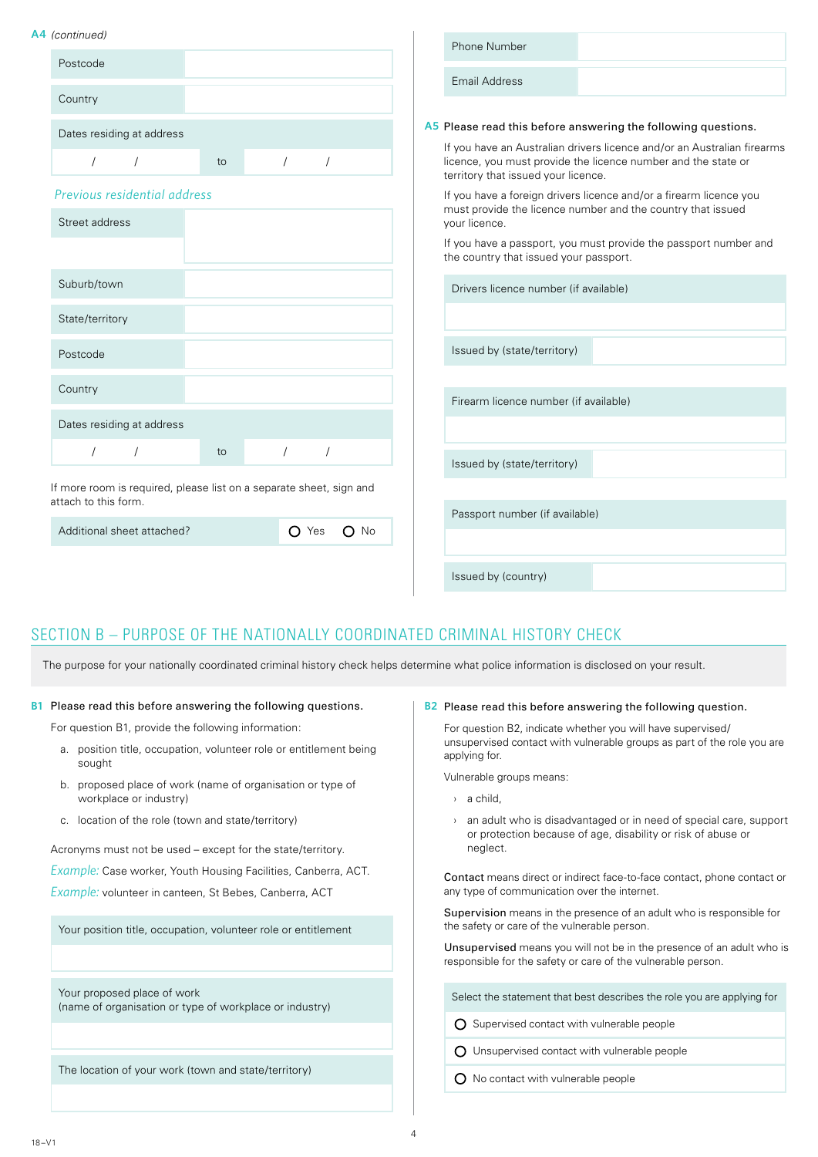#### **A4** *(continued)*

| 4<br>(continued)                                                    |                          | Phone Number                                                                                                                                                                    |
|---------------------------------------------------------------------|--------------------------|---------------------------------------------------------------------------------------------------------------------------------------------------------------------------------|
| Postcode                                                            |                          |                                                                                                                                                                                 |
|                                                                     |                          | <b>Email Address</b>                                                                                                                                                            |
| Country                                                             |                          |                                                                                                                                                                                 |
| Dates residing at address                                           |                          | A5 Please read this before answering the following questions.                                                                                                                   |
| $\prime$<br>$\sqrt{2}$<br>to                                        | $\prime$                 | If you have an Australian drivers licence and/or an Australian firearms<br>licence, you must provide the licence number and the state or<br>territory that issued your licence. |
| Previous residential address                                        |                          | If you have a foreign drivers licence and/or a firearm licence you                                                                                                              |
| Street address                                                      |                          | must provide the licence number and the country that issued<br>your licence.                                                                                                    |
|                                                                     |                          | If you have a passport, you must provide the passport number and<br>the country that issued your passport.                                                                      |
| Suburb/town                                                         |                          | Drivers licence number (if available)                                                                                                                                           |
| State/territory                                                     |                          |                                                                                                                                                                                 |
| Postcode                                                            |                          | Issued by (state/territory)                                                                                                                                                     |
| Country                                                             |                          |                                                                                                                                                                                 |
|                                                                     |                          | Firearm licence number (if available)                                                                                                                                           |
| Dates residing at address                                           |                          |                                                                                                                                                                                 |
| $\prime$<br>$\sqrt{2}$<br>to                                        | $\prime$<br>$\sqrt{2}$   | Issued by (state/territory)                                                                                                                                                     |
| If more room is required, please list on a separate sheet, sign and |                          |                                                                                                                                                                                 |
| attach to this form.                                                |                          | Passport number (if available)                                                                                                                                                  |
| Additional sheet attached?                                          | $\bigcirc$ Yes<br>$O$ No |                                                                                                                                                                                 |
|                                                                     |                          | Issued by (country)                                                                                                                                                             |

## SECTION B – PURPOSE OF THE NATIONALLY COORDINATED CRIMINAL HISTORY CHECK

The purpose for your nationally coordinated criminal history check helps determine what police information is disclosed on your result.

#### **B1** Please read this before answering the following questions.

For question B1, provide the following information:

- a. position title, occupation, volunteer role or entitlement being sought
- b. proposed place of work (name of organisation or type of workplace or industry)
- c. location of the role (town and state/territory)

Acronyms must not be used – except for the state/territory.

*Example:* Case worker, Youth Housing Facilities, Canberra, ACT.

*Example:* volunteer in canteen, St Bebes, Canberra, ACT

Your position title, occupation, volunteer role or entitlement

Your proposed place of work (name of organisation or type of workplace or industry)

The location of your work (town and state/territory)

#### B<sub>2</sub> Please read this before answering the following question.

For question B2, indicate whether you will have supervised/ unsupervised contact with vulnerable groups as part of the role you are applying for.

Vulnerable groups means:

- › a child,
- › an adult who is disadvantaged or in need of special care, support or protection because of age, disability or risk of abuse or neglect.

Contact means direct or indirect face-to-face contact, phone contact or any type of communication over the internet.

Supervision means in the presence of an adult who is responsible for the safety or care of the vulnerable person.

Unsupervised means you will not be in the presence of an adult who is responsible for the safety or care of the vulnerable person.

Select the statement that best describes the role you are applying for

O Supervised contact with vulnerable people

Unsupervised contact with vulnerable people

 $O$  No contact with vulnerable people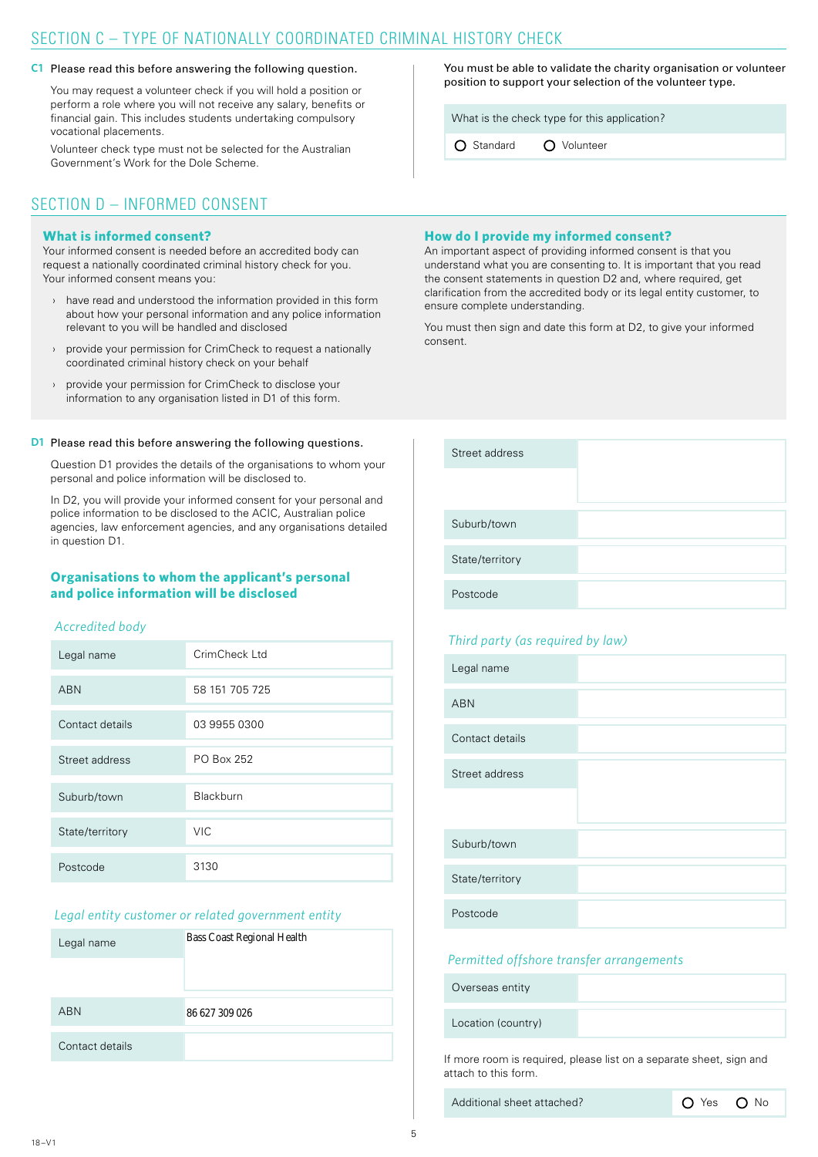## SECTION C – TYPE OF NATIONALLY COORDINATED CRIMINAL HISTORY CHECK

#### C1 Please read this before answering the following question.

You may request a volunteer check if you will hold a position or perform a role where you will not receive any salary, benefits or financial gain. This includes students undertaking compulsory vocational placements.

Volunteer check type must not be selected for the Australian Government's Work for the Dole Scheme.

## SECTION D – INFORMED CONSENT

### **What is informed consent?**

Your informed consent is needed before an accredited body can request a nationally coordinated criminal history check for you. Your informed consent means you:

- have read and understood the information provided in this form about how your personal information and any police information relevant to you will be handled and disclosed
- › provide your permission for CrimCheck to request a nationally coordinated criminal history check on your behalf
- provide your permission for CrimCheck to disclose your information to any organisation listed in D1 of this form.

#### **D1** Please read this before answering the following questions.

Question D1 provides the details of the organisations to whom your personal and police information will be disclosed to.

In D2, you will provide your informed consent for your personal and police information to be disclosed to the ACIC, Australian police agencies, law enforcement agencies, and any organisations detailed in question D1.

## **Organisations to whom the applicant's personal and police information will be disclosed**

#### *Accredited body*

| Legal name      | CrimCheck Ltd  |
|-----------------|----------------|
| <b>ABN</b>      | 58 151 705 725 |
| Contact details | 03 9955 0300   |
| Street address  | PO Box 252     |
| Suburb/town     | Blackburn      |
| State/territory | <b>VIC</b>     |
| Postcode        | 3130           |

## *Legal entity customer or related government entity*

| Legal name      | <b>Bass Coast Regional Health</b> |
|-----------------|-----------------------------------|
|                 |                                   |
| <b>ABN</b>      | 86 627 309 026                    |
| Contact details |                                   |

You must be able to validate the charity organisation or volunteer position to support your selection of the volunteer type.

What is the check type for this application?

O Standard O Volunteer

## **How do I provide my informed consent?**

An important aspect of providing informed consent is that you understand what you are consenting to. It is important that you read the consent statements in question D2 and, where required, get clarification from the accredited body or its legal entity customer, to ensure complete understanding.

You must then sign and date this form at D2, to give your informed consent.

| Street address  |  |
|-----------------|--|
|                 |  |
|                 |  |
| Suburb/town     |  |
|                 |  |
| State/territory |  |
|                 |  |
| Postcode        |  |

## *Third party (as required by law)*

| Legal name      |  |
|-----------------|--|
| <b>ABN</b>      |  |
| Contact details |  |
| Street address  |  |
|                 |  |
| Suburb/town     |  |
| State/territory |  |
| Postcode        |  |

#### *Permitted offshore transfer arrangements*

Overseas entity

Location (country)

If more room is required, please list on a separate sheet, sign and attach to this form.

Additional sheet attached? 
<br> **O** Yes **O** No